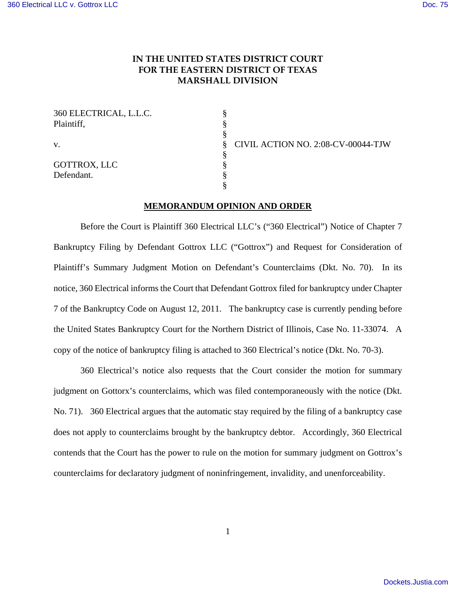## **IN THE UNITED STATES DISTRICT COURT FOR THE EASTERN DISTRICT OF TEXAS MARSHALL DIVISION**

| 360 ELECTRICAL, L.L.C.<br>Plaintiff, |  |
|--------------------------------------|--|
| V.                                   |  |
| GOTTROX, LLC                         |  |
| Defendant.                           |  |

CIVIL ACTION NO. 2:08-CV-00044-TJW

## **MEMORANDUM OPINION AND ORDER**

 Before the Court is Plaintiff 360 Electrical LLC's ("360 Electrical") Notice of Chapter 7 Bankruptcy Filing by Defendant Gottrox LLC ("Gottrox") and Request for Consideration of Plaintiff's Summary Judgment Motion on Defendant's Counterclaims (Dkt. No. 70). In its notice, 360 Electrical informs the Court that Defendant Gottrox filed for bankruptcy under Chapter 7 of the Bankruptcy Code on August 12, 2011. The bankruptcy case is currently pending before the United States Bankruptcy Court for the Northern District of Illinois, Case No. 11-33074. A copy of the notice of bankruptcy filing is attached to 360 Electrical's notice (Dkt. No. 70-3).

 360 Electrical's notice also requests that the Court consider the motion for summary judgment on Gottorx's counterclaims, which was filed contemporaneously with the notice (Dkt. No. 71). 360 Electrical argues that the automatic stay required by the filing of a bankruptcy case does not apply to counterclaims brought by the bankruptcy debtor. Accordingly, 360 Electrical contends that the Court has the power to rule on the motion for summary judgment on Gottrox's counterclaims for declaratory judgment of noninfringement, invalidity, and unenforceability.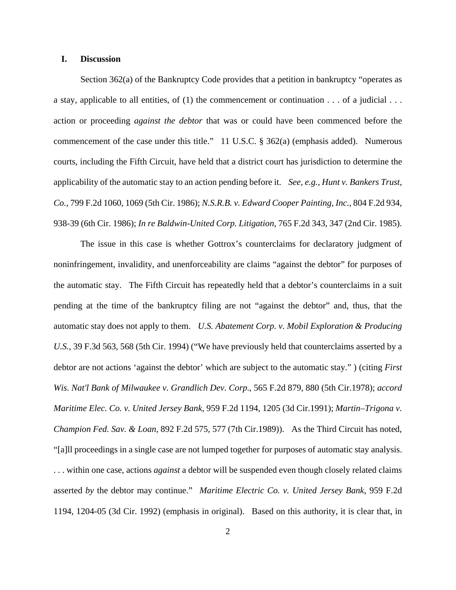## **I. Discussion**

 Section 362(a) of the Bankruptcy Code provides that a petition in bankruptcy "operates as a stay, applicable to all entities, of (1) the commencement or continuation . . . of a judicial . . . action or proceeding *against the debtor* that was or could have been commenced before the commencement of the case under this title." 11 U.S.C. § 362(a) (emphasis added). Numerous courts, including the Fifth Circuit, have held that a district court has jurisdiction to determine the applicability of the automatic stay to an action pending before it. *See, e.g., Hunt v. Bankers Trust, Co.*, 799 F.2d 1060, 1069 (5th Cir. 1986); *N.S.R.B. v. Edward Cooper Painting, Inc.*, 804 F.2d 934, 938-39 (6th Cir. 1986); *In re Baldwin-United Corp. Litigation*, 765 F.2d 343, 347 (2nd Cir. 1985).

 The issue in this case is whether Gottrox's counterclaims for declaratory judgment of noninfringement, invalidity, and unenforceability are claims "against the debtor" for purposes of the automatic stay. The Fifth Circuit has repeatedly held that a debtor's counterclaims in a suit pending at the time of the bankruptcy filing are not "against the debtor" and, thus, that the automatic stay does not apply to them. *U.S. Abatement Corp. v. Mobil Exploration & Producing U.S.*, 39 F.3d 563, 568 (5th Cir. 1994) ("We have previously held that counterclaims asserted by a debtor are not actions 'against the debtor' which are subject to the automatic stay." ) (citing *First Wis. Nat'l Bank of Milwaukee v. Grandlich Dev. Corp*., 565 F.2d 879, 880 (5th Cir.1978); *accord Maritime Elec. Co. v. United Jersey Bank*, 959 F.2d 1194, 1205 (3d Cir.1991); *Martin–Trigona v. Champion Fed. Sav. & Loan*, 892 F.2d 575, 577 (7th Cir.1989)). As the Third Circuit has noted, "[a]ll proceedings in a single case are not lumped together for purposes of automatic stay analysis. . . . within one case, actions *against* a debtor will be suspended even though closely related claims asserted *by* the debtor may continue." *Maritime Electric Co. v. United Jersey Bank*, 959 F.2d 1194, 1204-05 (3d Cir. 1992) (emphasis in original). Based on this authority, it is clear that, in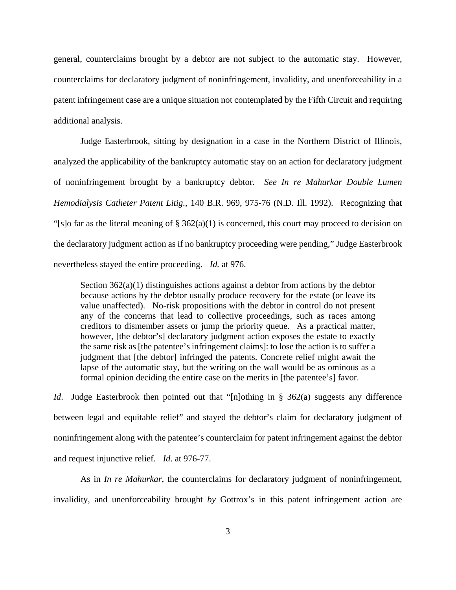general, counterclaims brought by a debtor are not subject to the automatic stay. However, counterclaims for declaratory judgment of noninfringement, invalidity, and unenforceability in a patent infringement case are a unique situation not contemplated by the Fifth Circuit and requiring additional analysis.

 Judge Easterbrook, sitting by designation in a case in the Northern District of Illinois, analyzed the applicability of the bankruptcy automatic stay on an action for declaratory judgment of noninfringement brought by a bankruptcy debtor. *See In re Mahurkar Double Lumen Hemodialysis Catheter Patent Litig.*, 140 B.R. 969, 975-76 (N.D. Ill. 1992). Recognizing that "[s]o far as the literal meaning of  $\S 362(a)(1)$  is concerned, this court may proceed to decision on the declaratory judgment action as if no bankruptcy proceeding were pending," Judge Easterbrook nevertheless stayed the entire proceeding. *Id.* at 976.

Section  $362(a)(1)$  distinguishes actions against a debtor from actions by the debtor because actions by the debtor usually produce recovery for the estate (or leave its value unaffected). No-risk propositions with the debtor in control do not present any of the concerns that lead to collective proceedings, such as races among creditors to dismember assets or jump the priority queue. As a practical matter, however, [the debtor's] declaratory judgment action exposes the estate to exactly the same risk as [the patentee's infringement claims]: to lose the action is to suffer a judgment that [the debtor] infringed the patents. Concrete relief might await the lapse of the automatic stay, but the writing on the wall would be as ominous as a formal opinion deciding the entire case on the merits in [the patentee's] favor.

*Id*. Judge Easterbrook then pointed out that "[n]othing in § 362(a) suggests any difference between legal and equitable relief" and stayed the debtor's claim for declaratory judgment of noninfringement along with the patentee's counterclaim for patent infringement against the debtor and request injunctive relief. *Id*. at 976-77.

 As in *In re Mahurkar*, the counterclaims for declaratory judgment of noninfringement, invalidity, and unenforceability brought *by* Gottrox's in this patent infringement action are